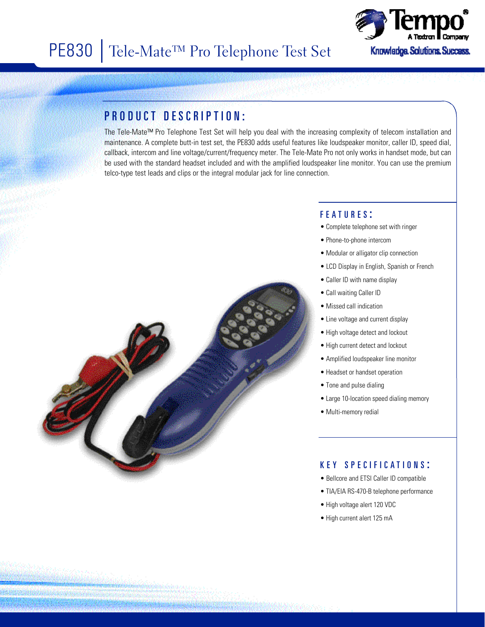

## PRODUCT DESCRIPTION:

The Tele-Mate™ Pro Telephone Test Set will help you deal with the increasing complexity of telecom installation and maintenance. A complete butt-in test set, the PE830 adds useful features like loudspeaker monitor, caller ID, speed dial, callback, intercom and line voltage/current/frequency meter. The Tele-Mate Pro not only works in handset mode, but can be used with the standard headset included and with the amplified loudspeaker line monitor. You can use the premium telco-type test leads and clips or the integral modular jack for line connection.



- Complete telephone set with ringer
- Phone-to-phone intercom
- Modular or alligator clip connection
- LCD Display in English, Spanish or French
- Caller ID with name display
- Call waiting Caller ID
- Missed call indication
- Line voltage and current display
- High voltage detect and lockout
- High current detect and lockout
- Amplified loudspeaker line monitor
- Headset or handset operation
- Tone and pulse dialing
- Large 10-location speed dialing memory
- Multi-memory redial

#### K E Y S P E C I F I C A T I O N S :

- Bellcore and ETSI Caller ID compatible
- TIA/EIA RS-470-B telephone performance
- High voltage alert 120 VDC
- High current alert 125 mA